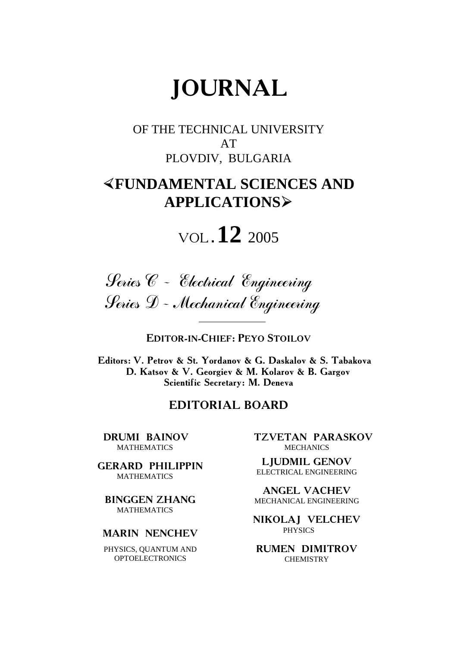# **JOURNAL**

OF THE TECHNICAL UNIVERSITY AT PLOVDIV, BULGARIA

### ½**FUNDAMENTAL SCIENCES AND APPLICATIONS**¾

# VOL**.12** <sup>2005</sup>



**EDITOR-IN-CHIEF: PEYO STOILOV**

**Editors: V. Petrov & St. Yordanov & G. Daskalov & S. Tabakova D. Katsov & V. Georgiev & M. Kolarov & B. Gargov Scientific Secretary: M. Deneva**

#### **EDITORIAL BOARD**

**DRUMI BAINOV**  MATHEMATICS

**GERARD PHILIPPIN**  MATHEMATICS

**BINGGEN ZHANG MATHEMATICS** 

#### **MARIN NENCHEV**

PHYSICS, QUANTUM AND OPTOELECTRONICS

 **TZVETAN PARASKOV MECHANICS** 

**LJUDMIL GENOV**  ELECTRICAL ENGINEERING

**ANGEL VACHEV**  MECHANICAL ENGINEERING

**NIKOLAJ VELCHEV**  PHYSICS

**RUMEN DIMITROV CHEMISTRY**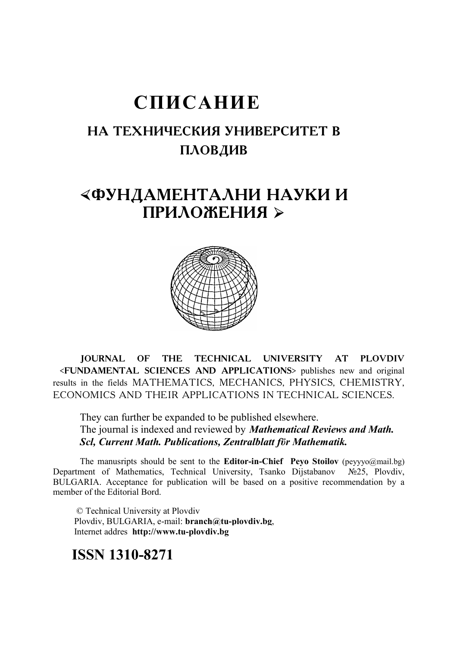# **СПИСАНИЕ**

### **НА ТЕХНИЧЕСКИЯ УНИВЕРСИТЕТ В** ПЛОВДИВ

### «ФУНДАМЕНТАЛНИ НАУКИ И ПРИЛОЖЕНИЯ ≻



**JOURNAL OF THE TECHNICAL UNIVERSITY AT PLOVDIV <FUNDAMENTAL SCIENCES AND APPLICATIONS>** publishes new and original results in the fields MATHEMATICS, MECHANICS, PHYSICS, CHEMISTRY, ECONOMICS AND THEIR APPLICATIONS IN TECHNICAL SCIENCES.

They can further be expanded to be published elsewhere. The journal is indexed and reviewed by *Mathematical Reviews and Math. Scl, Current Math. Publications, Zentralblatt fϋr Mathematik.* 

The manusripts should be sent to the **Editor-in-Chief Peyo Stoilov** (peyyyo@mail.bg) Department of Mathematics, Technical University, Tsanko Dijstabanov №25, Plovdiv, BULGARIA. Acceptance for publication will be based on a positive recommendation by a member of the Editorial Bord.

 © Technical University at Plovdiv Plovdiv, BULGARIA, e-mail: **branch@tu-plovdiv.bg**, Internet addres **http://www.tu-plovdiv.bg** 

#### **ISSN 1310-8271**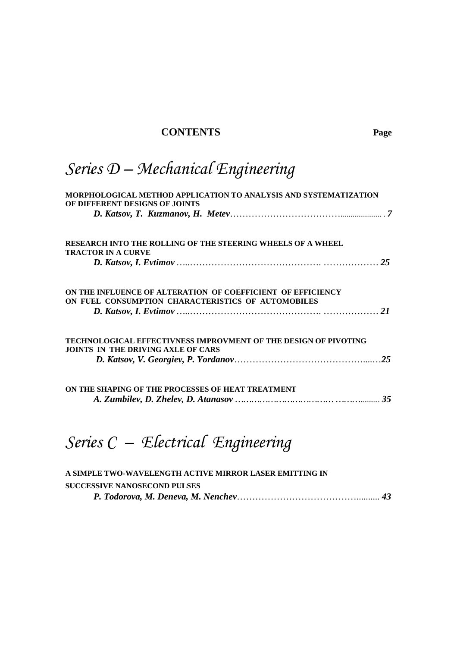#### **CONTENTS Page**

# *Series D – Mechanical Engineering*

| MORPHOLOGICAL METHOD APPLICATION TO ANALYSIS AND SYSTEMATIZATION<br>OF DIFFERENT DESIGNS OF JOINTS           |  |
|--------------------------------------------------------------------------------------------------------------|--|
|                                                                                                              |  |
| <b>RESEARCH INTO THE ROLLING OF THE STEERING WHEELS OF A WHEEL</b><br><b>TRACTOR IN A CURVE</b>              |  |
|                                                                                                              |  |
| ON THE INFLUENCE OF ALTERATION OF COEFFICIENT OF EFFICIENCY                                                  |  |
| ON FUEL CONSUMPTION CHARACTERISTICS OF AUTOMOBILES                                                           |  |
| TECHNOLOGICAL EFFECTIVNESS IMPROVMENT OF THE DESIGN OF PIVOTING<br><b>JOINTS IN THE DRIVING AXLE OF CARS</b> |  |
|                                                                                                              |  |
| ON THE SHAPING OF THE PROCESSES OF HEAT TREATMENT                                                            |  |
|                                                                                                              |  |

# *Series C – Electrical Engineering*

| A SIMPLE TWO-WAVELENGTH ACTIVE MIRROR LASER EMITTING IN |  |  |
|---------------------------------------------------------|--|--|
| <b>SUCCESSIVE NANOSECOND PULSES</b>                     |  |  |
|                                                         |  |  |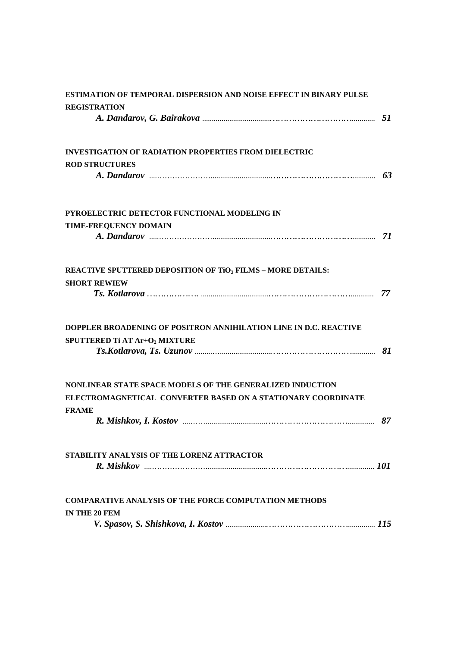| ESTIMATION OF TEMPORAL DISPERSION AND NOISE EFFECT IN BINARY PULSE |    |
|--------------------------------------------------------------------|----|
| <b>REGISTRATION</b>                                                |    |
|                                                                    |    |
| <b>INVESTIGATION OF RADIATION PROPERTIES FROM DIELECTRIC</b>       |    |
| <b>ROD STRUCTURES</b>                                              |    |
|                                                                    |    |
| PYROELECTRIC DETECTOR FUNCTIONAL MODELING IN                       |    |
| <b>TIME-FREQUENCY DOMAIN</b>                                       |    |
|                                                                    |    |
| REACTIVE SPUTTERED DEPOSITION OF TiO2 FILMS - MORE DETAILS:        |    |
| <b>SHORT REWIEW</b>                                                |    |
|                                                                    | 77 |
| DOPPLER BROADENING OF POSITRON ANNIHILATION LINE IN D.C. REACTIVE  |    |
| SPUTTERED Ti AT Ar+O2 MIXTURE                                      |    |
|                                                                    |    |
| NONLINEAR STATE SPACE MODELS OF THE GENERALIZED INDUCTION          |    |
| ELECTROMAGNETICAL CONVERTER BASED ON A STATIONARY COORDINATE       |    |
| <b>FRAME</b>                                                       |    |
|                                                                    | 87 |
| STABILITY ANALYSIS OF THE LORENZ ATTRACTOR                         |    |
|                                                                    |    |
| <b>COMPARATIVE ANALYSIS OF THE FORCE COMPUTATION METHODS</b>       |    |
| IN THE 20 FEM                                                      |    |
|                                                                    |    |